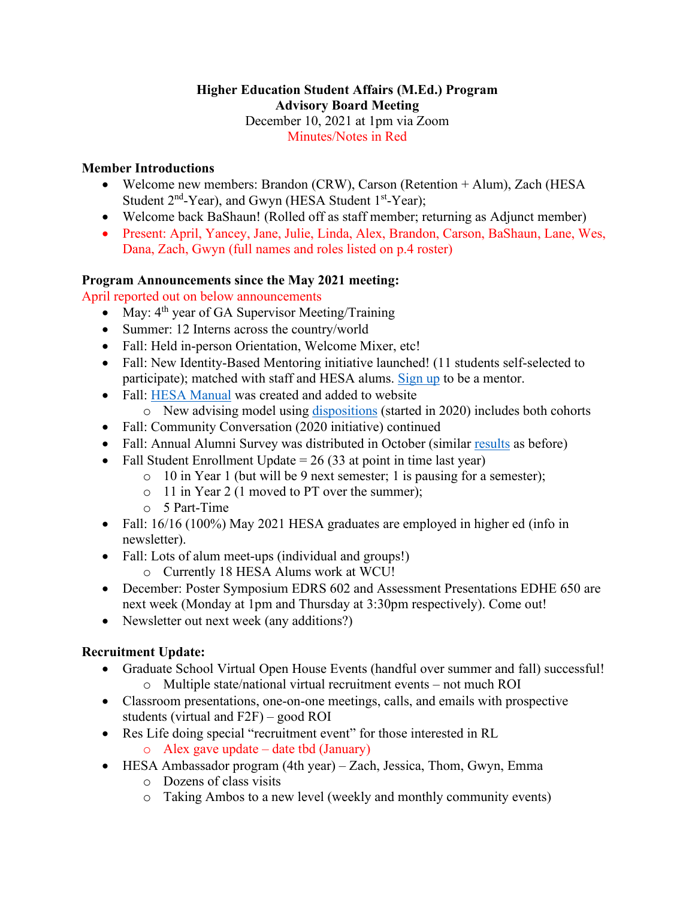### **Higher Education Student Affairs (M.Ed.) Program Advisory Board Meeting** December 10, 2021 at 1pm via Zoom Minutes/Notes in Red

## **Member Introductions**

- Welcome new members: Brandon (CRW), Carson (Retention + Alum), Zach (HESA Student  $2<sup>nd</sup>$ -Year), and Gwyn (HESA Student  $1<sup>st</sup>$ -Year);
- Welcome back BaShaun! (Rolled off as staff member; returning as Adjunct member)
- Present: April, Yancey, Jane, Julie, Linda, Alex, Brandon, Carson, BaShaun, Lane, Wes, Dana, Zach, Gwyn (full names and roles listed on p.4 roster)

# **Program Announcements since the May 2021 meeting:**

April reported out on below announcements

- May:  $4<sup>th</sup>$  year of GA Supervisor Meeting/Training
- Summer: 12 Interns across the country/world
- Fall: Held in-person Orientation, Welcome Mixer, etc!
- Fall: New Identity-Based Mentoring initiative launched! (11 students self-selected to participate); matched with staff and HESA alums. [Sign up](https://wcu.az1.qualtrics.com/jfe/form/SV_55OVaISMZkJlMGO) to be a mentor.
- Fall: [HESA Manual](https://www.wcu.edu/_files/learn/CEAP-HS-HESA_StudentManual.pdf) was created and added to website
	- $\circ$  New advising model using [dispositions](https://www.wcu.edu/_files/learn/CEAP-HS-HESA_Dispositions-Competencies.pdf) (started in 2020) includes both cohorts
- Fall: Community Conversation (2020 initiative) continued
- Fall: Annual Alumni Survey was distributed in October (similar [results](https://www.wcu.edu/WebFiles/PDFs/CEAP-HS-HESA_AlumSurveyData.pdf) as before)
- Fall Student Enrollment Update  $= 26 (33 \text{ at point in time last year})$ 
	- o 10 in Year 1 (but will be 9 next semester; 1 is pausing for a semester);
	- o 11 in Year 2 (1 moved to PT over the summer);
	- o 5 Part-Time
- Fall: 16/16 (100%) May 2021 HESA graduates are employed in higher ed (info in newsletter).
- Fall: Lots of alum meet-ups (individual and groups!)
	- o Currently 18 HESA Alums work at WCU!
- December: Poster Symposium EDRS 602 and Assessment Presentations EDHE 650 are next week (Monday at 1pm and Thursday at 3:30pm respectively). Come out!
- Newsletter out next week (any additions?)

# **Recruitment Update:**

- Graduate School Virtual Open House Events (handful over summer and fall) successful! o Multiple state/national virtual recruitment events – not much ROI
- Classroom presentations, one-on-one meetings, calls, and emails with prospective students (virtual and F2F) – good ROI
- Res Life doing special "recruitment event" for those interested in RL
	- $\circ$  Alex gave update date tbd (January)
- HESA Ambassador program (4th year) Zach, Jessica, Thom, Gwyn, Emma
	- o Dozens of class visits
	- o Taking Ambos to a new level (weekly and monthly community events)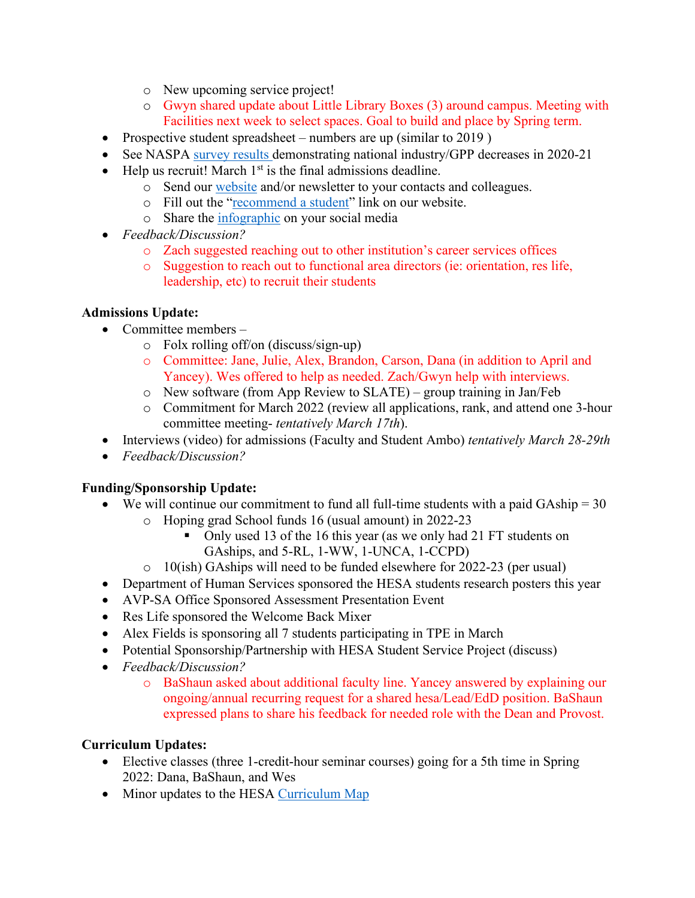- o New upcoming service project!
- o Gwyn shared update about Little Library Boxes (3) around campus. Meeting with Facilities next week to select spaces. Goal to build and place by Spring term.
- Prospective student spreadsheet numbers are up (similar to 2019)
- See NASPA [survey results](https://www.naspa.org/files/dmfile/Faculty-Survey-Results---11-08-21.pdf) demonstrating national industry/GPP decreases in 2020-21
- Help us recruit! March  $1<sup>st</sup>$  is the final admissions deadline.
	- o Send our [website](https://www.wcu.edu/learn/departments-schools-colleges/ceap/humanserv/hesa/hesa-faculty.aspx) and/or newsletter to your contacts and colleagues.
	- o Fill out the ["recommend a student"](https://www.wcu.edu/learn/departments-schools-colleges/ceap/humanserv/hesa/recommend_a_student.aspx) link on our website.
	- o Share the [infographic](https://www.facebook.com/photo/?fbid=2487982068175839&set=a.1484388011868588) on your social media
- *Feedback/Discussion?*
	- o Zach suggested reaching out to other institution's career services offices
	- o Suggestion to reach out to functional area directors (ie: orientation, res life, leadership, etc) to recruit their students

## **Admissions Update:**

- Committee members
	- o Folx rolling off/on (discuss/sign-up)
	- o Committee: Jane, Julie, Alex, Brandon, Carson, Dana (in addition to April and Yancey). Wes offered to help as needed. Zach/Gwyn help with interviews.
	- o New software (from App Review to SLATE) group training in Jan/Feb
	- o Commitment for March 2022 (review all applications, rank, and attend one 3-hour committee meeting- *tentatively March 17th*).
- Interviews (video) for admissions (Faculty and Student Ambo) *tentatively March 28-29th*
- *Feedback/Discussion?*

#### **Funding/Sponsorship Update:**

- We will continue our commitment to fund all full-time students with a paid  $GAship = 30$ 
	- o Hoping grad School funds 16 (usual amount) in 2022-23
		- Only used 13 of the 16 this year (as we only had 21 FT students on GAships, and 5-RL, 1-WW, 1-UNCA, 1-CCPD)
	- o 10(ish) GAships will need to be funded elsewhere for 2022-23 (per usual)
- Department of Human Services sponsored the HESA students research posters this year
- AVP-SA Office Sponsored Assessment Presentation Event
- Res Life sponsored the Welcome Back Mixer
- Alex Fields is sponsoring all 7 students participating in TPE in March
- Potential Sponsorship/Partnership with HESA Student Service Project (discuss)
- *Feedback/Discussion?*
	- o BaShaun asked about additional faculty line. Yancey answered by explaining our ongoing/annual recurring request for a shared hesa/Lead/EdD position. BaShaun expressed plans to share his feedback for needed role with the Dean and Provost.

# **Curriculum Updates:**

- Elective classes (three 1-credit-hour seminar courses) going for a 5th time in Spring 2022: Dana, BaShaun, and Wes
- Minor updates to the HESA [Curriculum Map](https://www.wcu.edu/_files/learn/CEAP-HS-HESA_CurriculumMap.pdf)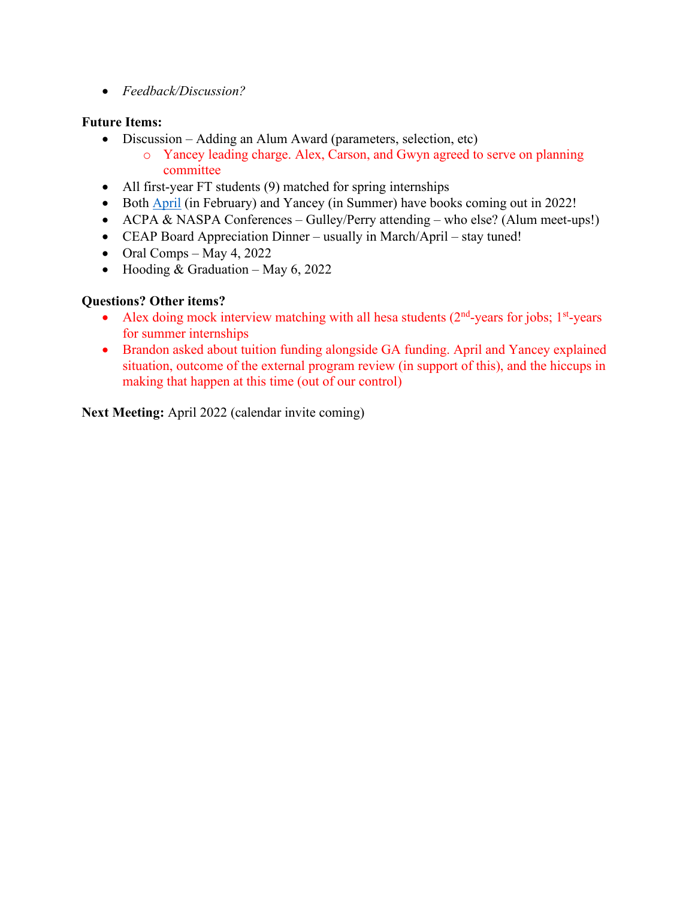• *Feedback/Discussion?*

### **Future Items:**

- Discussion Adding an Alum Award (parameters, selection, etc)
	- o Yancey leading charge. Alex, Carson, and Gwyn agreed to serve on planning committee
- All first-year FT students (9) matched for spring internships
- Both [April](https://www.routledge.com/A-Practitioners-Guide-to-Supporting-Graduate-and-Professional-Students/Shepard-Perry/p/book/9780367639884) (in February) and Yancey (in Summer) have books coming out in 2022!
- ACPA & NASPA Conferences Gulley/Perry attending who else? (Alum meet-ups!)
- CEAP Board Appreciation Dinner usually in March/April stay tuned!
- Oral Comps May 4, 2022
- Hooding & Graduation May 6, 2022

## **Questions? Other items?**

- Alex doing mock interview matching with all hesa students  $(2<sup>nd</sup>-years)$  for jobs;  $1<sup>st</sup>-years$ for summer internships
- Brandon asked about tuition funding alongside GA funding. April and Yancey explained situation, outcome of the external program review (in support of this), and the hiccups in making that happen at this time (out of our control)

**Next Meeting:** April 2022 (calendar invite coming)